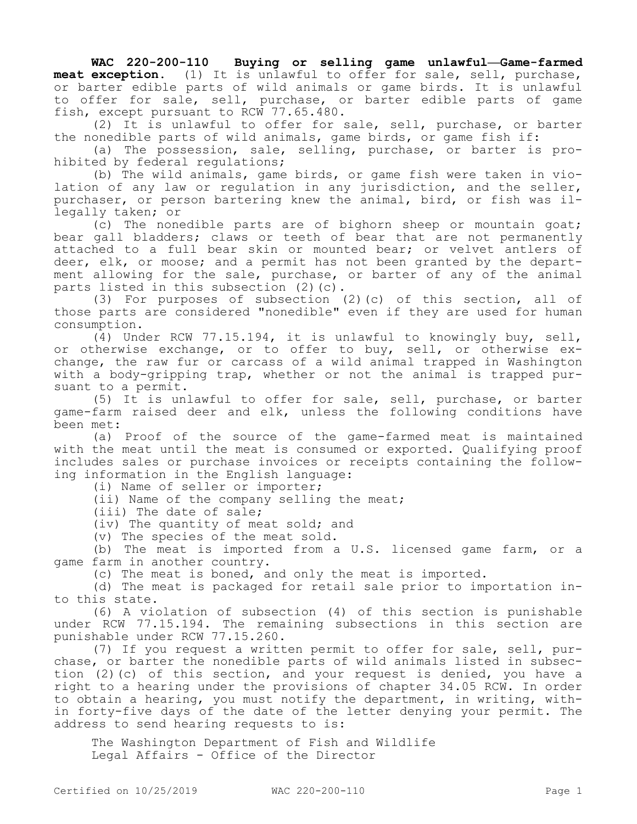**WAC 220-200-110 Buying or selling game unlawful—Game-farmed meat exception.** (1) It is unlawful to offer for sale, sell, purchase, or barter edible parts of wild animals or game birds. It is unlawful to offer for sale, sell, purchase, or barter edible parts of game fish, except pursuant to RCW 77.65.480.

(2) It is unlawful to offer for sale, sell, purchase, or barter the nonedible parts of wild animals, game birds, or game fish if:

(a) The possession, sale, selling, purchase, or barter is prohibited by federal regulations;

(b) The wild animals, game birds, or game fish were taken in violation of any law or regulation in any jurisdiction, and the seller, purchaser, or person bartering knew the animal, bird, or fish was illegally taken; or

(c) The nonedible parts are of bighorn sheep or mountain goat; bear gall bladders; claws or teeth of bear that are not permanently attached to a full bear skin or mounted bear; or velvet antlers of deer, elk, or moose; and a permit has not been granted by the department allowing for the sale, purchase, or barter of any of the animal parts listed in this subsection (2)(c).

(3) For purposes of subsection (2)(c) of this section, all of those parts are considered "nonedible" even if they are used for human consumption.

(4) Under RCW 77.15.194, it is unlawful to knowingly buy, sell, or otherwise exchange, or to offer to buy, sell, or otherwise exchange, the raw fur or carcass of a wild animal trapped in Washington with a body-gripping trap, whether or not the animal is trapped pursuant to a permit.

(5) It is unlawful to offer for sale, sell, purchase, or barter game-farm raised deer and elk, unless the following conditions have been met:

(a) Proof of the source of the game-farmed meat is maintained with the meat until the meat is consumed or exported. Qualifying proof includes sales or purchase invoices or receipts containing the following information in the English language:

(i) Name of seller or importer;

(ii) Name of the company selling the meat;

(iii) The date of sale;

(iv) The quantity of meat sold; and

(v) The species of the meat sold.

(b) The meat is imported from a U.S. licensed game farm, or a game farm in another country.

(c) The meat is boned, and only the meat is imported.

(d) The meat is packaged for retail sale prior to importation into this state.

(6) A violation of subsection (4) of this section is punishable under RCW 77.15.194. The remaining subsections in this section are punishable under RCW 77.15.260.

(7) If you request a written permit to offer for sale, sell, purchase, or barter the nonedible parts of wild animals listed in subsection (2)(c) of this section, and your request is denied, you have a right to a hearing under the provisions of chapter 34.05 RCW. In order to obtain a hearing, you must notify the department, in writing, within forty-five days of the date of the letter denying your permit. The address to send hearing requests to is:

The Washington Department of Fish and Wildlife Legal Affairs - Office of the Director